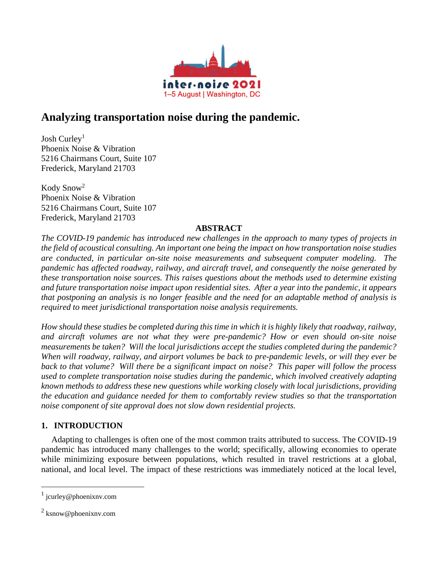

# **Analyzing transportation noise during the pandemic.**

Josh Curley<sup>1</sup> Phoenix Noise & Vibration 5216 Chairmans Court, Suite 107 Frederick, Maryland 21703

Kody Snow<sup>2</sup> Phoenix Noise & Vibration 5216 Chairmans Court, Suite 107 Frederick, Maryland 21703

# **ABSTRACT**

*The COVID-19 pandemic has introduced new challenges in the approach to many types of projects in the field of acoustical consulting. An important one being the impact on how transportation noise studies are conducted, in particular on-site noise measurements and subsequent computer modeling. The pandemic has affected roadway, railway, and aircraft travel, and consequently the noise generated by these transportation noise sources. This raises questions about the methods used to determine existing and future transportation noise impact upon residential sites. After a year into the pandemic, it appears* that postponing an analysis is no longer feasible and the need for an adaptable method of analysis is *required to meet jurisdictional transportation noise analysis requirements.*

How should these studies be completed during this time in which it is highly likely that roadway, railway, *and aircraft volumes are not what they were pre-pandemic? How or even should on-site noise measurements be taken? Will the local jurisdictions accept the studies completed during the pandemic? When will roadway, railway, and airport volumes be back to pre-pandemic levels, or will they ever be back to that volume? Will there be a significant impact on noise? This paper will follow the process used to complete transportation noise studies during the pandemic, which involved creatively adapting known methods to address these new questions while working closely with local jurisdictions, providing the education and guidance needed for them to comfortably review studies so that the transportation noise component of site approval does not slow down residential projects.*

# **1. INTRODUCTION**

Adapting to challenges is often one of the most common traits attributed to success. The COVID-19 pandemic has introduced many challenges to the world; specifically, allowing economies to operate while minimizing exposure between populations, which resulted in travel restrictions at a global, national, and local level. The impact of these restrictions was immediately noticed at the local level,

<sup>&</sup>lt;sup>1</sup> jcurley@phoenixnv.com

<sup>&</sup>lt;sup>2</sup> ksnow@phoenixnv.com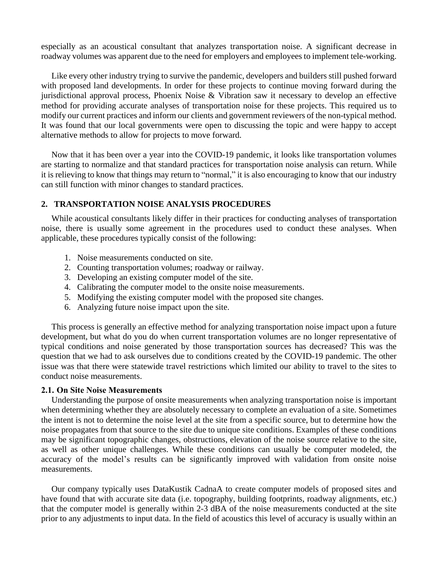especially as an acoustical consultant that analyzes transportation noise. A significant decrease in roadway volumes was apparent due to the need for employers and employees to implement tele-working.

Like every other industry trying to survive the pandemic, developers and builders still pushed forward with proposed land developments. In order for these projects to continue moving forward during the jurisdictional approval process, Phoenix Noise & Vibration saw it necessary to develop an effective method for providing accurate analyses of transportation noise for these projects. This required us to modify our current practices and inform our clients and government reviewers of the non-typical method. It was found that our local governments were open to discussing the topic and were happy to accept alternative methods to allow for projects to move forward.

Now that it has been over a year into the COVID-19 pandemic, it looks like transportation volumes are starting to normalize and that standard practices for transportation noise analysis can return. While it is relieving to know that things may return to "normal," it is also encouraging to know that our industry can still function with minor changes to standard practices.

#### **2. TRANSPORTATION NOISE ANALYSIS PROCEDURES**

While acoustical consultants likely differ in their practices for conducting analyses of transportation noise, there is usually some agreement in the procedures used to conduct these analyses. When applicable, these procedures typically consist of the following:

- 1. Noise measurements conducted on site.
- 2. Counting transportation volumes; roadway or railway.
- 3. Developing an existing computer model of the site.
- 4. Calibrating the computer model to the onsite noise measurements.
- 5. Modifying the existing computer model with the proposed site changes.
- 6. Analyzing future noise impact upon the site.

This process is generally an effective method for analyzing transportation noise impact upon a future development, but what do you do when current transportation volumes are no longer representative of typical conditions and noise generated by those transportation sources has decreased? This was the question that we had to ask ourselves due to conditions created by the COVID-19 pandemic. The other issue was that there were statewide travel restrictions which limited our ability to travel to the sites to conduct noise measurements.

#### **2.1. On Site Noise Measurements**

Understanding the purpose of onsite measurements when analyzing transportation noise is important when determining whether they are absolutely necessary to complete an evaluation of a site. Sometimes the intent is not to determine the noise level at the site from a specific source, but to determine how the noise propagates from that source to the site due to unique site conditions. Examples of these conditions may be significant topographic changes, obstructions, elevation of the noise source relative to the site, as well as other unique challenges. While these conditions can usually be computer modeled, the accuracy of the model's results can be significantly improved with validation from onsite noise measurements.

Our company typically uses DataKustik CadnaA to create computer models of proposed sites and have found that with accurate site data (i.e. topography, building footprints, roadway alignments, etc.) that the computer model is generally within 2-3 dBA of the noise measurements conducted at the site prior to any adjustments to input data. In the field of acoustics this level of accuracy is usually within an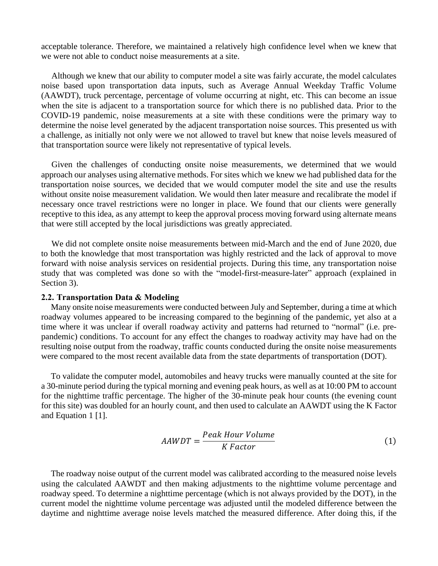acceptable tolerance. Therefore, we maintained a relatively high confidence level when we knew that we were not able to conduct noise measurements at a site.

Although we knew that our ability to computer model a site was fairly accurate, the model calculates noise based upon transportation data inputs, such as Average Annual Weekday Traffic Volume (AAWDT), truck percentage, percentage of volume occurring at night, etc. This can become an issue when the site is adjacent to a transportation source for which there is no published data. Prior to the COVID-19 pandemic, noise measurements at a site with these conditions were the primary way to determine the noise level generated by the adjacent transportation noise sources. This presented us with a challenge, as initially not only were we not allowed to travel but knew that noise levels measured of that transportation source were likely not representative of typical levels.

Given the challenges of conducting onsite noise measurements, we determined that we would approach our analyses using alternative methods. For sites which we knew we had published data for the transportation noise sources, we decided that we would computer model the site and use the results without onsite noise measurement validation. We would then later measure and recalibrate the model if necessary once travel restrictions were no longer in place. We found that our clients were generally receptive to this idea, as any attempt to keep the approval process moving forward using alternate means that were still accepted by the local jurisdictions was greatly appreciated.

We did not complete onsite noise measurements between mid-March and the end of June 2020, due to both the knowledge that most transportation was highly restricted and the lack of approval to move forward with noise analysis services on residential projects. During this time, any transportation noise study that was completed was done so with the "model-first-measure-later" approach (explained in Section 3).

#### **2.2. Transportation Data & Modeling**

Many onsite noise measurements were conducted between July and September, during a time at which roadway volumes appeared to be increasing compared to the beginning of the pandemic, yet also at a time where it was unclear if overall roadway activity and patterns had returned to "normal" (i.e. prepandemic) conditions. To account for any effect the changes to roadway activity may have had on the resulting noise output from the roadway, traffic counts conducted during the onsite noise measurements were compared to the most recent available data from the state departments of transportation (DOT).

To validate the computer model, automobiles and heavy trucks were manually counted at the site for a 30-minute period during the typical morning and evening peak hours, as well as at 10:00 PM to account for the nighttime traffic percentage. The higher of the 30-minute peak hour counts (the evening count for this site) was doubled for an hourly count, and then used to calculate an AAWDT using the K Factor and Equation 1 [1].

$$
AAWDT = \frac{Peak\ Hour\ Volume}{K\ Factor} \tag{1}
$$

The roadway noise output of the current model was calibrated according to the measured noise levels using the calculated AAWDT and then making adjustments to the nighttime volume percentage and roadway speed. To determine a nighttime percentage (which is not always provided by the DOT), in the current model the nighttime volume percentage was adjusted until the modeled difference between the daytime and nighttime average noise levels matched the measured difference. After doing this, if the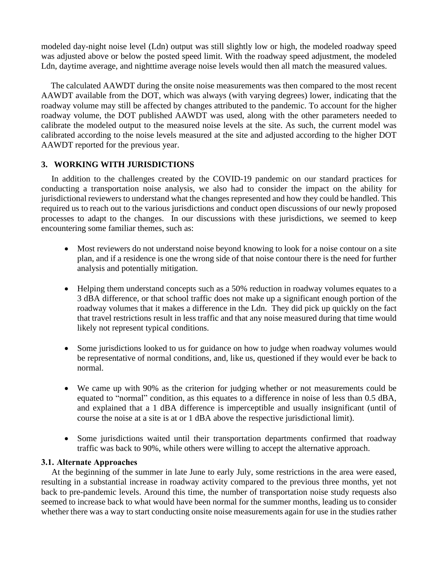modeled day-night noise level (Ldn) output was still slightly low or high, the modeled roadway speed was adjusted above or below the posted speed limit. With the roadway speed adjustment, the modeled Ldn, daytime average, and nighttime average noise levels would then all match the measured values.

The calculated AAWDT during the onsite noise measurements was then compared to the most recent AAWDT available from the DOT, which was always (with varying degrees) lower, indicating that the roadway volume may still be affected by changes attributed to the pandemic. To account for the higher roadway volume, the DOT published AAWDT was used, along with the other parameters needed to calibrate the modeled output to the measured noise levels at the site. As such, the current model was calibrated according to the noise levels measured at the site and adjusted according to the higher DOT AAWDT reported for the previous year.

# **3. WORKING WITH JURISDICTIONS**

In addition to the challenges created by the COVID-19 pandemic on our standard practices for conducting a transportation noise analysis, we also had to consider the impact on the ability for jurisdictional reviewers to understand what the changes represented and how they could be handled. This required us to reach out to the various jurisdictions and conduct open discussions of our newly proposed processes to adapt to the changes. In our discussions with these jurisdictions, we seemed to keep encountering some familiar themes, such as:

- Most reviewers do not understand noise beyond knowing to look for a noise contour on a site plan, and if a residence is one the wrong side of that noise contour there is the need for further analysis and potentially mitigation.
- Helping them understand concepts such as a 50% reduction in roadway volumes equates to a 3 dBA difference, or that school traffic does not make up a significant enough portion of the roadway volumes that it makes a difference in the Ldn. They did pick up quickly on the fact that travel restrictions result in less traffic and that any noise measured during that time would likely not represent typical conditions.
- Some jurisdictions looked to us for guidance on how to judge when roadway volumes would be representative of normal conditions, and, like us, questioned if they would ever be back to normal.
- We came up with 90% as the criterion for judging whether or not measurements could be equated to "normal" condition, as this equates to a difference in noise of less than 0.5 dBA, and explained that a 1 dBA difference is imperceptible and usually insignificant (until of course the noise at a site is at or 1 dBA above the respective jurisdictional limit).
- Some jurisdictions waited until their transportation departments confirmed that roadway traffic was back to 90%, while others were willing to accept the alternative approach.

### **3.1. Alternate Approaches**

At the beginning of the summer in late June to early July, some restrictions in the area were eased, resulting in a substantial increase in roadway activity compared to the previous three months, yet not back to pre-pandemic levels. Around this time, the number of transportation noise study requests also seemed to increase back to what would have been normal for the summer months, leading us to consider whether there was a way to start conducting onsite noise measurements again for use in the studies rather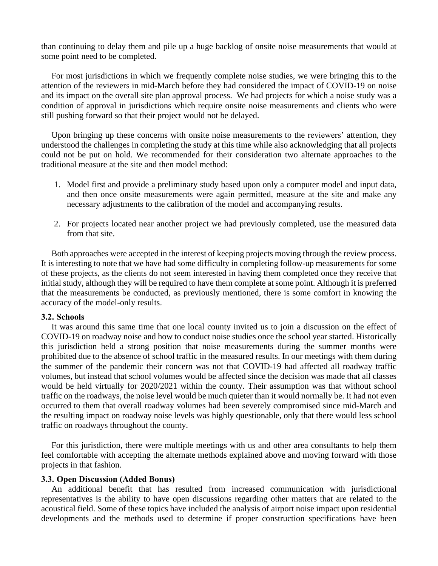than continuing to delay them and pile up a huge backlog of onsite noise measurements that would at some point need to be completed.

For most jurisdictions in which we frequently complete noise studies, we were bringing this to the attention of the reviewers in mid-March before they had considered the impact of COVID-19 on noise and its impact on the overall site plan approval process. We had projects for which a noise study was a condition of approval in jurisdictions which require onsite noise measurements and clients who were still pushing forward so that their project would not be delayed.

Upon bringing up these concerns with onsite noise measurements to the reviewers' attention, they understood the challenges in completing the study at this time while also acknowledging that all projects could not be put on hold. We recommended for their consideration two alternate approaches to the traditional measure at the site and then model method:

- 1. Model first and provide a preliminary study based upon only a computer model and input data, and then once onsite measurements were again permitted, measure at the site and make any necessary adjustments to the calibration of the model and accompanying results.
- 2. For projects located near another project we had previously completed, use the measured data from that site.

Both approaches were accepted in the interest of keeping projects moving through the review process. It is interesting to note that we have had some difficulty in completing follow-up measurements for some of these projects, as the clients do not seem interested in having them completed once they receive that initial study, although they will be required to have them complete at some point. Although it is preferred that the measurements be conducted, as previously mentioned, there is some comfort in knowing the accuracy of the model-only results.

#### **3.2. Schools**

It was around this same time that one local county invited us to join a discussion on the effect of COVID-19 on roadway noise and how to conduct noise studies once the school year started. Historically this jurisdiction held a strong position that noise measurements during the summer months were prohibited due to the absence of school traffic in the measured results. In our meetings with them during the summer of the pandemic their concern was not that COVID-19 had affected all roadway traffic volumes, but instead that school volumes would be affected since the decision was made that all classes would be held virtually for 2020/2021 within the county. Their assumption was that without school traffic on the roadways, the noise level would be much quieter than it would normally be. It had not even occurred to them that overall roadway volumes had been severely compromised since mid-March and the resulting impact on roadway noise levels was highly questionable, only that there would less school traffic on roadways throughout the county.

For this jurisdiction, there were multiple meetings with us and other area consultants to help them feel comfortable with accepting the alternate methods explained above and moving forward with those projects in that fashion.

#### **3.3. Open Discussion (Added Bonus)**

An additional benefit that has resulted from increased communication with jurisdictional representatives is the ability to have open discussions regarding other matters that are related to the acoustical field. Some of these topics have included the analysis of airport noise impact upon residential developments and the methods used to determine if proper construction specifications have been